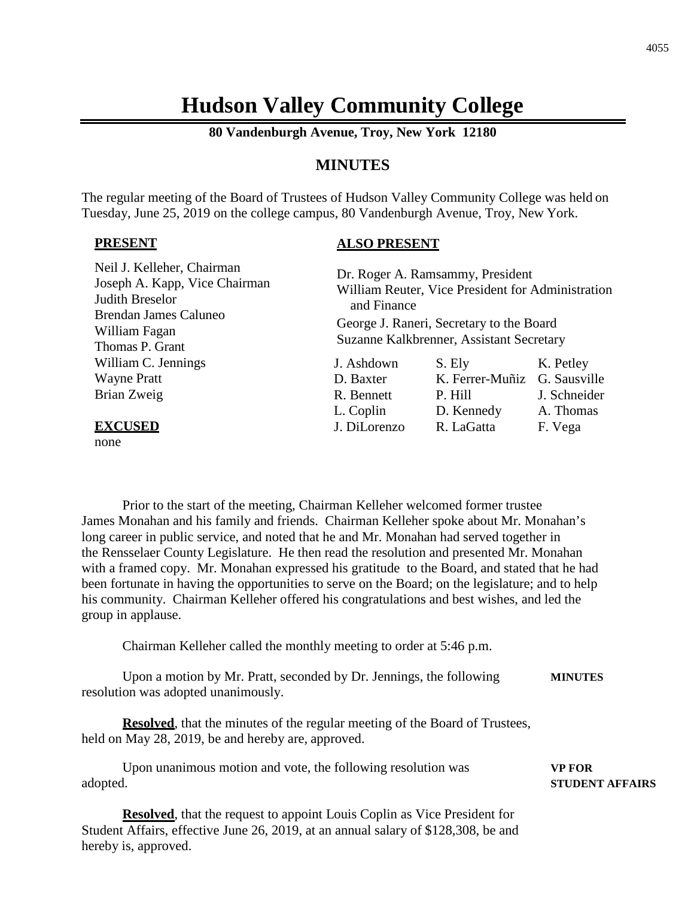# **Hudson Valley Community College**

**80 Vandenburgh Avenue, Troy, New York 12180**

## **MINUTES**

The regular meeting of the Board of Trustees of Hudson Valley Community College was held on Tuesday, June 25, 2019 on the college campus, 80 Vandenburgh Avenue, Troy, New York.

#### **PRESENT**

#### **ALSO PRESENT**

| Neil J. Kelleher, Chairman<br>Joseph A. Kapp, Vice Chairman<br>Judith Breselor<br><b>Brendan James Caluneo</b><br>William Fagan<br>Thomas P. Grant | Dr. Roger A. Ramsammy, President<br>William Reuter, Vice President for Administration<br>and Finance<br>George J. Raneri, Secretary to the Board<br>Suzanne Kalkbrenner, Assistant Secretary |                              |              |
|----------------------------------------------------------------------------------------------------------------------------------------------------|----------------------------------------------------------------------------------------------------------------------------------------------------------------------------------------------|------------------------------|--------------|
| William C. Jennings                                                                                                                                | J. Ashdown                                                                                                                                                                                   | S. Ely                       | K. Petley    |
| <b>Wayne Pratt</b>                                                                                                                                 | D. Baxter                                                                                                                                                                                    | K. Ferrer-Muñiz G. Sausville |              |
| Brian Zweig                                                                                                                                        | R. Bennett                                                                                                                                                                                   | P. Hill                      | J. Schneider |
|                                                                                                                                                    | L. Coplin                                                                                                                                                                                    | D. Kennedy                   | A. Thomas    |
| <b>EXCUSED</b>                                                                                                                                     | J. DiLorenzo                                                                                                                                                                                 | R. LaGatta                   | F. Vega      |
| none                                                                                                                                               |                                                                                                                                                                                              |                              |              |

Prior to the start of the meeting, Chairman Kelleher welcomed former trustee James Monahan and his family and friends. Chairman Kelleher spoke about Mr. Monahan's long career in public service, and noted that he and Mr. Monahan had served together in the Rensselaer County Legislature. He then read the resolution and presented Mr. Monahan with a framed copy. Mr. Monahan expressed his gratitude to the Board, and stated that he had been fortunate in having the opportunities to serve on the Board; on the legislature; and to help his community. Chairman Kelleher offered his congratulations and best wishes, and led the group in applause.

Chairman Kelleher called the monthly meeting to order at 5:46 p.m.

Upon a motion by Mr. Pratt, seconded by Dr. Jennings, the following **MINUTES** resolution was adopted unanimously.

**Resolved**, that the minutes of the regular meeting of the Board of Trustees, held on May 28, 2019, be and hereby are, approved.

Upon unanimous motion and vote, the following resolution was **VP FOR** adopted. **STUDENT AFFAIRS**

**Resolved**, that the request to appoint Louis Coplin as Vice President for Student Affairs, effective June 26, 2019, at an annual salary of \$128,308, be and hereby is, approved.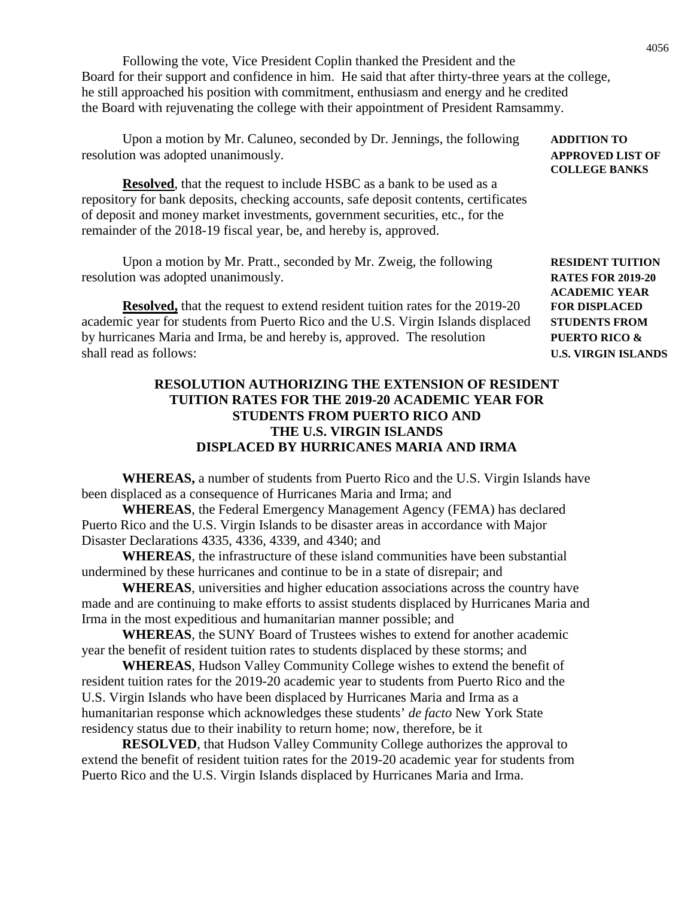Following the vote, Vice President Coplin thanked the President and the Board for their support and confidence in him. He said that after thirty-three years at the college, he still approached his position with commitment, enthusiasm and energy and he credited the Board with rejuvenating the college with their appointment of President Ramsammy.

Upon a motion by Mr. Caluneo, seconded by Dr. Jennings, the following **ADDITION TO** resolution was adopted unanimously. **APPROVED LIST OF**

**Resolved**, that the request to include HSBC as a bank to be used as a repository for bank deposits, checking accounts, safe deposit contents, certificates of deposit and money market investments, government securities, etc., for the remainder of the 2018-19 fiscal year, be, and hereby is, approved.

Upon a motion by Mr. Pratt., seconded by Mr. Zweig, the following **RESIDENT TUITION** resolution was adopted unanimously. **RATES FOR 2019-20**

**Resolved,** that the request to extend resident tuition rates for the 2019-20 **FOR DISPLACED** academic year for students from Puerto Rico and the U.S. Virgin Islands displaced **STUDENTS FROM** by hurricanes Maria and Irma, be and hereby is, approved. The resolution **PUERTO RICO &** shall read as follows: **U.S. VIRGIN ISLANDS**

### **RESOLUTION AUTHORIZING THE EXTENSION OF RESIDENT TUITION RATES FOR THE 2019-20 ACADEMIC YEAR FOR STUDENTS FROM PUERTO RICO AND THE U.S. VIRGIN ISLANDS DISPLACED BY HURRICANES MARIA AND IRMA**

**WHEREAS,** a number of students from Puerto Rico and the U.S. Virgin Islands have been displaced as a consequence of Hurricanes Maria and Irma; and

**WHEREAS**, the Federal Emergency Management Agency (FEMA) has declared Puerto Rico and the U.S. Virgin Islands to be disaster areas in accordance with Major Disaster Declarations 4335, 4336, 4339, and 4340; and

**WHEREAS**, the infrastructure of these island communities have been substantial undermined by these hurricanes and continue to be in a state of disrepair; and

**WHEREAS**, universities and higher education associations across the country have made and are continuing to make efforts to assist students displaced by Hurricanes Maria and Irma in the most expeditious and humanitarian manner possible; and

**WHEREAS**, the SUNY Board of Trustees wishes to extend for another academic year the benefit of resident tuition rates to students displaced by these storms; and

**WHEREAS**, Hudson Valley Community College wishes to extend the benefit of resident tuition rates for the 2019-20 academic year to students from Puerto Rico and the U.S. Virgin Islands who have been displaced by Hurricanes Maria and Irma as a humanitarian response which acknowledges these students' *de facto* New York State residency status due to their inability to return home; now, therefore, be it

**RESOLVED**, that Hudson Valley Community College authorizes the approval to extend the benefit of resident tuition rates for the 2019-20 academic year for students from Puerto Rico and the U.S. Virgin Islands displaced by Hurricanes Maria and Irma.

**COLLEGE BANKS**

**ACADEMIC YEAR**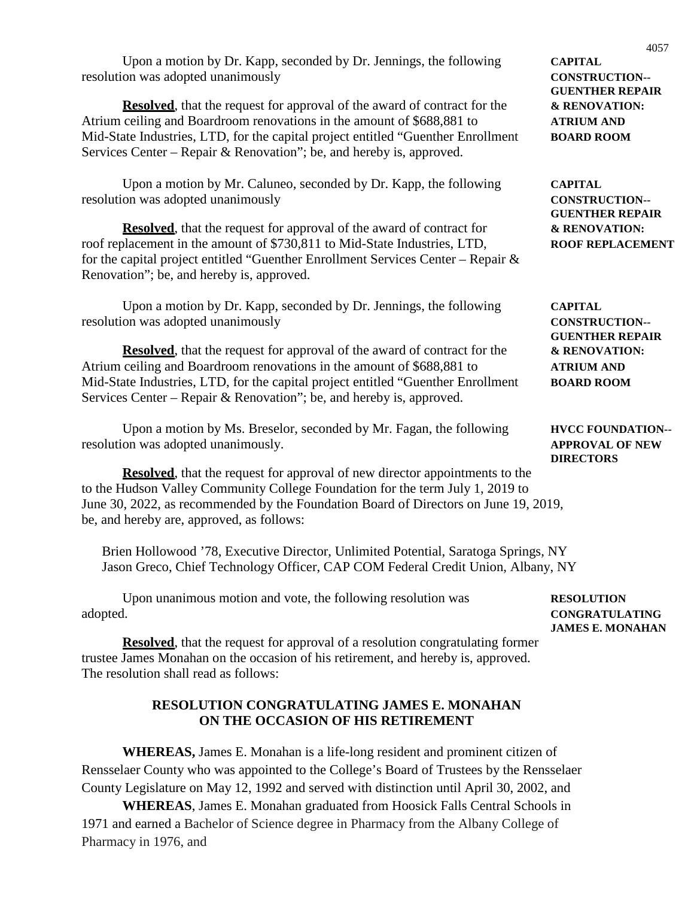Upon a motion by Dr. Kapp, seconded by Dr. Jennings, the following **CAPITAL** resolution was adopted unanimously **CONSTRUCTION--**

**Resolved**, that the request for approval of the award of contract for the **& RENOVATION:** Atrium ceiling and Boardroom renovations in the amount of \$688,881 to **ATRIUM AND** Mid-State Industries, LTD, for the capital project entitled "Guenther Enrollment **BOARD ROOM** Services Center – Repair & Renovation"; be, and hereby is, approved.

Upon a motion by Mr. Caluneo, seconded by Dr. Kapp, the following **CAPITAL** resolution was adopted unanimously **CONSTRUCTION--**

**Resolved**, that the request for approval of the award of contract for **& RENOVATION:** roof replacement in the amount of \$730,811 to Mid-State Industries, LTD, **ROOF REPLACEMENT** for the capital project entitled "Guenther Enrollment Services Center – Repair & Renovation"; be, and hereby is, approved.

Upon a motion by Dr. Kapp, seconded by Dr. Jennings, the following **CAPITAL** resolution was adopted unanimously **CONSTRUCTION--**

**Resolved**, that the request for approval of the award of contract for the **& RENOVATION:** Atrium ceiling and Boardroom renovations in the amount of \$688,881 to **ATRIUM AND** Mid-State Industries, LTD, for the capital project entitled "Guenther Enrollment **BOARD ROOM** Services Center – Repair & Renovation"; be, and hereby is, approved.

Upon a motion by Ms. Breselor, seconded by Mr. Fagan, the following **HVCC FOUNDATION-**resolution was adopted unanimously. **APPROVAL OF NEW**

**Resolved**, that the request for approval of new director appointments to the to the Hudson Valley Community College Foundation for the term July 1, 2019 to June 30, 2022, as recommended by the Foundation Board of Directors on June 19, 2019, be, and hereby are, approved, as follows:

Brien Hollowood '78, Executive Director, Unlimited Potential, Saratoga Springs, NY Jason Greco, Chief Technology Officer, CAP COM Federal Credit Union, Albany, NY

Upon unanimous motion and vote, the following resolution was **RESOLUTION** adopted. **CONGRATULATING**

**Resolved**, that the request for approval of a resolution congratulating former trustee James Monahan on the occasion of his retirement, and hereby is, approved. The resolution shall read as follows:

### **RESOLUTION CONGRATULATING JAMES E. MONAHAN ON THE OCCASION OF HIS RETIREMENT**

**WHEREAS,** James E. Monahan is a life-long resident and prominent citizen of Rensselaer County who was appointed to the College's Board of Trustees by the Rensselaer County Legislature on May 12, 1992 and served with distinction until April 30, 2002, and

**WHEREAS**, James E. Monahan graduated from Hoosick Falls Central Schools in 1971 and earned a Bachelor of Science degree in Pharmacy from the Albany College of Pharmacy in 1976, and

**GUENTHER REPAIR** 

**GUENTHER REPAIR** 

**GUENTHER REPAIR** 

**DIRECTORS**

**JAMES E. MONAHAN**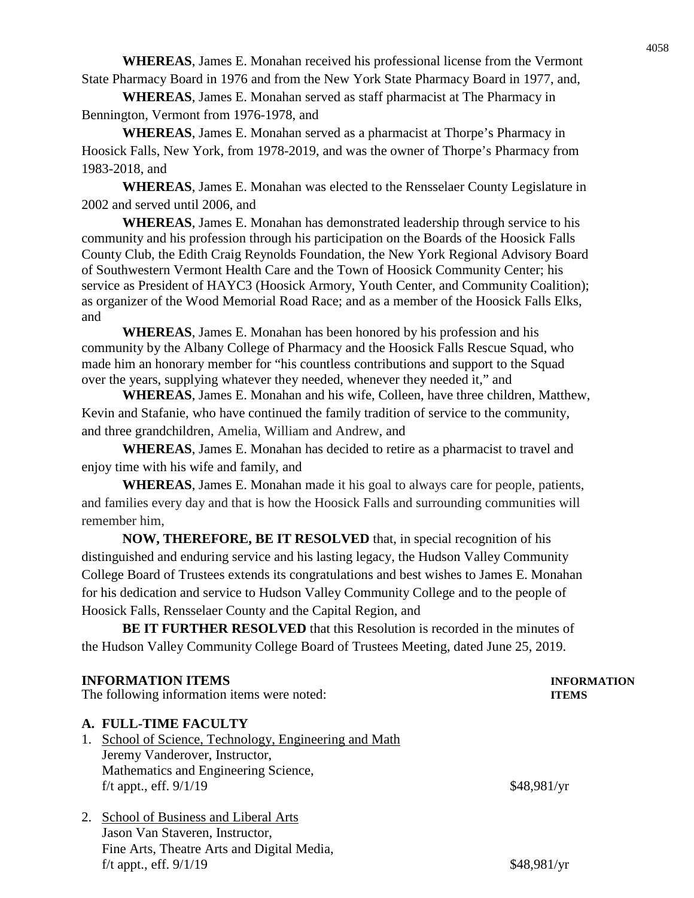**WHEREAS**, James E. Monahan received his professional license from the Vermont State Pharmacy Board in 1976 and from the New York State Pharmacy Board in 1977, and,

**WHEREAS**, James E. Monahan served as staff pharmacist at The Pharmacy in Bennington, Vermont from 1976-1978, and

**WHEREAS**, James E. Monahan served as a pharmacist at Thorpe's Pharmacy in Hoosick Falls, New York, from 1978-2019, and was the owner of Thorpe's Pharmacy from 1983-2018, and

**WHEREAS**, James E. Monahan was elected to the Rensselaer County Legislature in 2002 and served until 2006, and

**WHEREAS**, James E. Monahan has demonstrated leadership through service to his community and his profession through his participation on the Boards of the Hoosick Falls County Club, the Edith Craig Reynolds Foundation, the New York Regional Advisory Board of Southwestern Vermont Health Care and the Town of Hoosick Community Center; his service as President of HAYC3 (Hoosick Armory, Youth Center, and Community Coalition); as organizer of the Wood Memorial Road Race; and as a member of the Hoosick Falls Elks, and

**WHEREAS**, James E. Monahan has been honored by his profession and his community by the Albany College of Pharmacy and the Hoosick Falls Rescue Squad, who made him an honorary member for "his countless contributions and support to the Squad over the years, supplying whatever they needed, whenever they needed it," and

**WHEREAS**, James E. Monahan and his wife, Colleen, have three children, Matthew, Kevin and Stafanie, who have continued the family tradition of service to the community, and three grandchildren, Amelia, William and Andrew, and

**WHEREAS**, James E. Monahan has decided to retire as a pharmacist to travel and enjoy time with his wife and family, and

**WHEREAS**, James E. Monahan made it his goal to always care for people, patients, and families every day and that is how the Hoosick Falls and surrounding communities will remember him,

**NOW, THEREFORE, BE IT RESOLVED** that, in special recognition of his distinguished and enduring service and his lasting legacy, the Hudson Valley Community College Board of Trustees extends its congratulations and best wishes to James E. Monahan for his dedication and service to Hudson Valley Community College and to the people of Hoosick Falls, Rensselaer County and the Capital Region, and

**BE IT FURTHER RESOLVED** that this Resolution is recorded in the minutes of the Hudson Valley Community College Board of Trustees Meeting, dated June 25, 2019.

| <b>INFORMATION ITEMS</b><br>The following information items were noted: |                                                     | <b>INFORMATION</b><br><b>ITEMS</b> |
|-------------------------------------------------------------------------|-----------------------------------------------------|------------------------------------|
|                                                                         | A. FULL-TIME FACULTY                                |                                    |
| 1.                                                                      | School of Science, Technology, Engineering and Math |                                    |
|                                                                         | Jeremy Vanderover, Instructor,                      |                                    |
|                                                                         | Mathematics and Engineering Science,                |                                    |
|                                                                         | f/t appt., eff. $9/1/19$                            | \$48,981/yr                        |
| 2.                                                                      | School of Business and Liberal Arts                 |                                    |
|                                                                         | Jason Van Staveren, Instructor,                     |                                    |
|                                                                         | Fine Arts, Theatre Arts and Digital Media,          |                                    |
|                                                                         | f/t appt., eff. $9/1/19$                            | \$48,981/yr                        |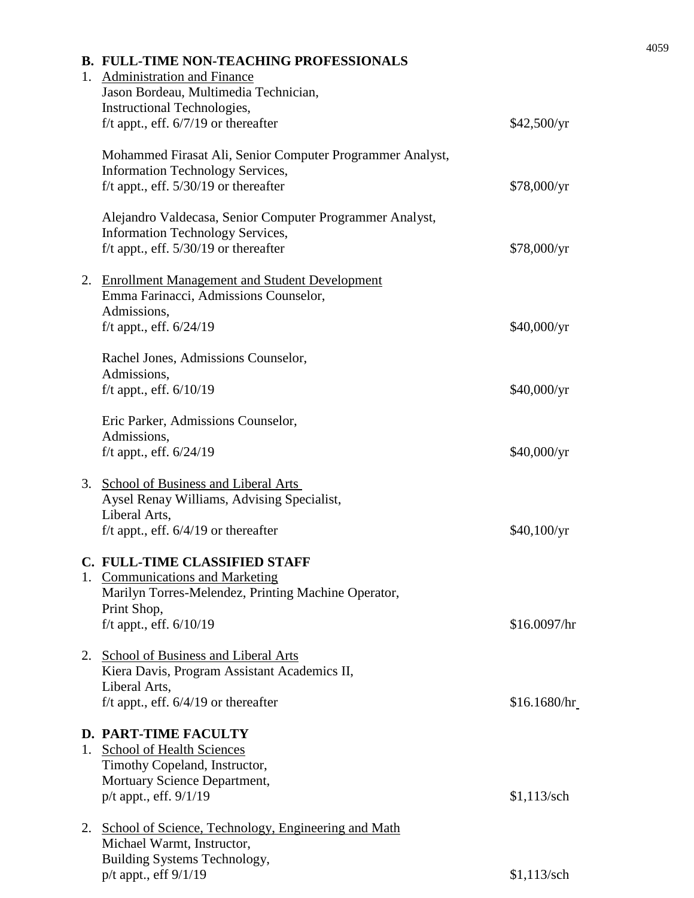| <b>B. FULL-TIME NON-TEACHING PROFESSIONALS</b><br>1. Administration and Finance<br>Jason Bordeau, Multimedia Technician,<br>Instructional Technologies,<br>f/t appt., eff. $6/7/19$ or thereafter | \$42,500/yr   |
|---------------------------------------------------------------------------------------------------------------------------------------------------------------------------------------------------|---------------|
| Mohammed Firasat Ali, Senior Computer Programmer Analyst,<br><b>Information Technology Services,</b><br>f/t appt., eff. $5/30/19$ or thereafter                                                   | \$78,000/yr   |
| Alejandro Valdecasa, Senior Computer Programmer Analyst,<br><b>Information Technology Services,</b><br>f/t appt., eff. $5/30/19$ or thereafter                                                    | \$78,000/yr   |
| 2. Enrollment Management and Student Development<br>Emma Farinacci, Admissions Counselor,                                                                                                         |               |
| Admissions,<br>f/t appt., eff. $6/24/19$                                                                                                                                                          | \$40,000/yr   |
| Rachel Jones, Admissions Counselor,<br>Admissions,<br>f/t appt., eff. 6/10/19                                                                                                                     | \$40,000/yr   |
| Eric Parker, Admissions Counselor,<br>Admissions,                                                                                                                                                 |               |
| f/t appt., eff. $6/24/19$                                                                                                                                                                         | \$40,000/yr   |
| 3. School of Business and Liberal Arts<br>Aysel Renay Williams, Advising Specialist,<br>Liberal Arts,                                                                                             |               |
| f/t appt., eff. $6/4/19$ or thereafter                                                                                                                                                            | \$40,100/yr   |
| C. FULL-TIME CLASSIFIED STAFF<br>1. Communications and Marketing<br>Marilyn Torres-Melendez, Printing Machine Operator,                                                                           |               |
| Print Shop,<br>f/t appt., eff. 6/10/19                                                                                                                                                            | \$16.0097/hr  |
| 2. School of Business and Liberal Arts<br>Kiera Davis, Program Assistant Academics II,<br>Liberal Arts,                                                                                           |               |
| f/t appt., eff. $6/4/19$ or thereafter                                                                                                                                                            | \$16.1680/hr  |
| <b>D. PART-TIME FACULTY</b><br>1. School of Health Sciences<br>Timothy Copeland, Instructor,<br>Mortuary Science Department,                                                                      |               |
| p/t appt., eff. 9/1/19                                                                                                                                                                            | $$1,113$ /sch |
| 2. School of Science, Technology, Engineering and Math<br>Michael Warmt, Instructor,<br>Building Systems Technology,                                                                              |               |
| p/t appt., eff 9/1/19                                                                                                                                                                             | $$1,113$ /sch |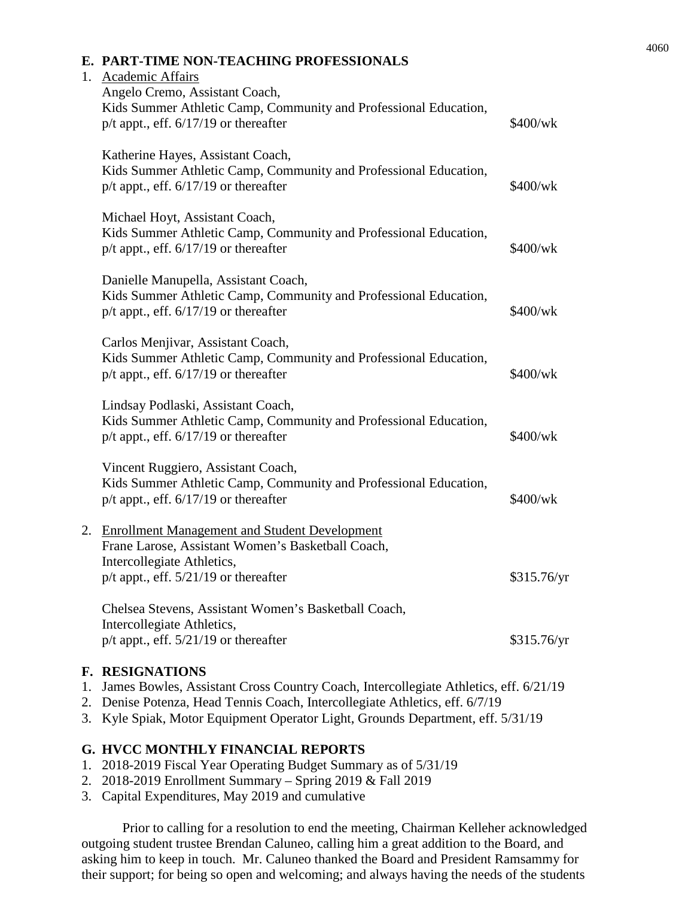# **E. PART-TIME NON-TEACHING PROFESSIONALS** 1. Academic Affairs Angelo Cremo, Assistant Coach, Kids Summer Athletic Camp, Community and Professional Education, p/t appt., eff.  $6/17/19$  or thereafter \$400/wk Katherine Hayes, Assistant Coach, Kids Summer Athletic Camp, Community and Professional Education,  $p/t$  appt., eff.  $6/17/19$  or thereafter \$400/wk Michael Hoyt, Assistant Coach, Kids Summer Athletic Camp, Community and Professional Education, p/t appt., eff.  $6/17/19$  or thereafter \$400/wk Danielle Manupella, Assistant Coach, Kids Summer Athletic Camp, Community and Professional Education, p/t appt., eff.  $6/17/19$  or thereafter \$400/wk Carlos Menjivar, Assistant Coach, Kids Summer Athletic Camp, Community and Professional Education, p/t appt., eff.  $6/17/19$  or thereafter \$400/wk Lindsay Podlaski, Assistant Coach, Kids Summer Athletic Camp, Community and Professional Education, p/t appt., eff.  $6/17/19$  or thereafter  $$400/wk$ Vincent Ruggiero, Assistant Coach, Kids Summer Athletic Camp, Community and Professional Education, p/t appt., eff.  $6/17/19$  or thereafter \$400/wk 2. Enrollment Management and Student Development Frane Larose, Assistant Women's Basketball Coach, Intercollegiate Athletics, p/t appt., eff.  $5/21/19$  or thereafter \$315.76/yr Chelsea Stevens, Assistant Women's Basketball Coach, Intercollegiate Athletics,  $p/t$  appt., eff.  $5/21/19$  or thereafter \$315.76/yr

#### **F. RESIGNATIONS**

- 1. James Bowles, Assistant Cross Country Coach, Intercollegiate Athletics, eff. 6/21/19
- 2. Denise Potenza, Head Tennis Coach, Intercollegiate Athletics, eff. 6/7/19
- 3. Kyle Spiak, Motor Equipment Operator Light, Grounds Department, eff. 5/31/19

#### **G. HVCC MONTHLY FINANCIAL REPORTS**

- 1. 2018-2019 Fiscal Year Operating Budget Summary as of 5/31/19
- 2. 2018-2019 Enrollment Summary Spring 2019 & Fall 2019
- 3. Capital Expenditures, May 2019 and cumulative

Prior to calling for a resolution to end the meeting, Chairman Kelleher acknowledged outgoing student trustee Brendan Caluneo, calling him a great addition to the Board, and asking him to keep in touch. Mr. Caluneo thanked the Board and President Ramsammy for their support; for being so open and welcoming; and always having the needs of the students